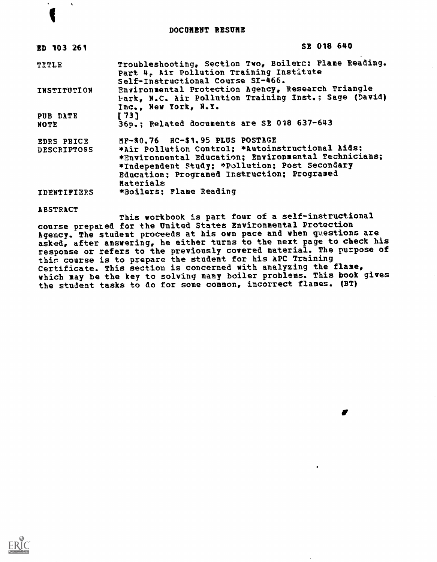#### DOCUMENT RESUME

| ED 103 261                | SE 018 640                                                                                                                                                                                                                                                 |
|---------------------------|------------------------------------------------------------------------------------------------------------------------------------------------------------------------------------------------------------------------------------------------------------|
| TITLE                     | Troubleshooting, Section Two, Boilers: Flame Reading.<br>Part 4, Air Pollution Training Institute<br>Self-Instructional Course SI-466.                                                                                                                     |
| INSTITUTION               | Environmental Protection Agency, Research Triangle<br>Park, N.C. Air Pollution Training Inst.: Sage (David)<br>Inc., New York, N.Y.                                                                                                                        |
| PUB DATE<br>NOTE          | [73]<br>36p.; Related documents are SE 018 637-643                                                                                                                                                                                                         |
| EDRS PRICE<br>DESCRIPTORS | MF-\$0.76 HC-\$1.95 PLUS POSTAGE<br>*Air Pollution Control: *Autoinstructional Aids:<br>*Environmental Education; Environmental Technicians;<br>*Independent Study; *Pollution; Post Secondary<br>Education; Programed Instruction; Programed<br>Materials |
| <b>IDENTIFIERS</b>        | *Boilers; Plane Reading                                                                                                                                                                                                                                    |

ABSTRACT

 $\Delta$ 

This workbook is part four of a self-instructional course prepared for the United States Environmental Protection Agency. The student proceeds at his own pace and when gvestions are asked, after answering, he either turns to the next page to check his response or refers to the previously covered material. The purpose of this course is to prepare the student for his APC Training Certificate. This section is concerned with analyzing the flame, which may be the key to solving many boiler problems. This book gives the student tasks to do for some common, incorrect flames. (BT)

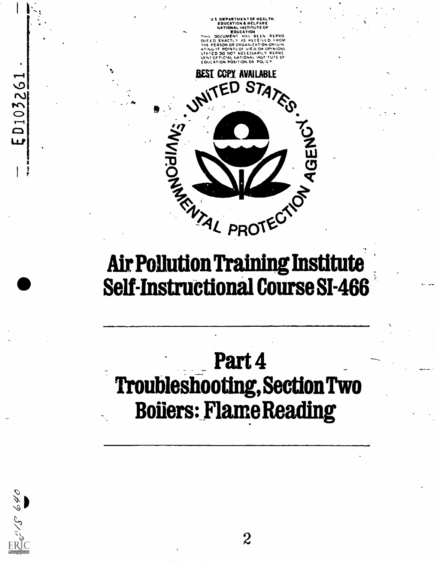S DEPARTMENT OF NEALTM. EDUCATION & WELFARE NATIONAL INSTITUTE OF EDUCATION

THIS DOCUMENT HAS BEEN REPRO DUTED EXACTLY AS RITEILED FROM THE PERSON OR ORGANIZATION OHIGIN ATING IT POINTS OF VIEW OR OPINIONS STATED DO NOT NECESSARILY REPRE SENT Of PIC.AL NATIONAL INST-TUTE Or E Out AlloN POSITION OA POLICY



# Self-Instructional Course 81-466

# Part 4 Troubleshooting, Section Two Boilers: Flame Reading



ED103261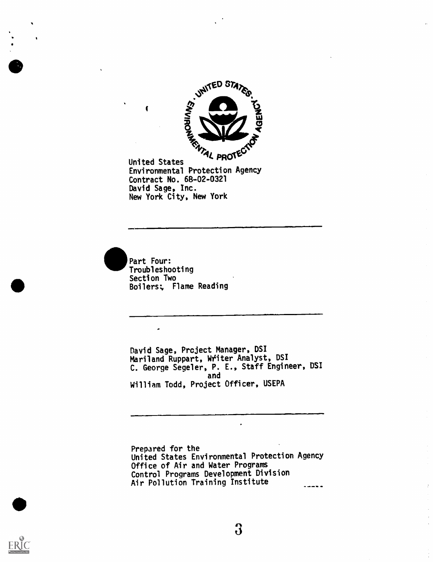

United States TROIT Environmental Protection Agency Contract No. 68-02-0321 David Sage, Inc. New York City, New York



 $\bullet$ 

David Sage, Project Manager, DSI Mariland Ruppart, Witer Analyst, DS' C. George Segeler, P. E., Staff Engineer, DSI<br>and and William Todd, Project Officer, USEPA

Prepared for the United States Environmental Protection Agency Office of Air and Water Programs Control Programs Development Division Air Pollution Training Institute

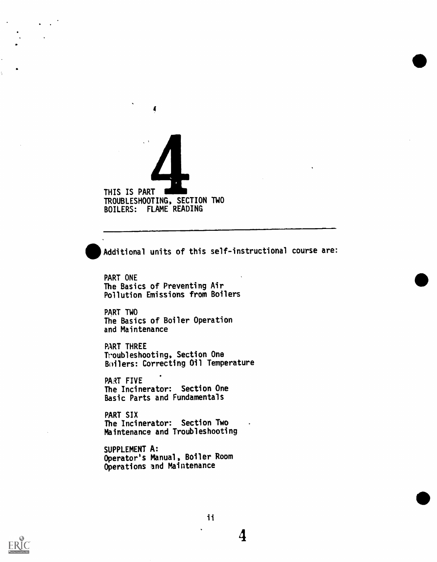# THIS IS PART TROUBLESHOOTING, SECTION TWO BOILERS: FLAME READING

4

Additional units of this self-instructional course are:

PART ONE The Basics of Preventing Air Pollution Emissions from Boilers

PART TWO The Basics of Boiler Operation and Maintenance

PART THREE Troubleshooting, Section One Boilers: Correcting Oil Temperature

PART FIVE The Incinerator: Section One Basic Parts and Fundamentals

PART SIX The Incinerator: Section Two Maintenance and Troubleshooting

SUPPLEMENT A: Operator's Manual, Boiler Room Operations and Maintenance



11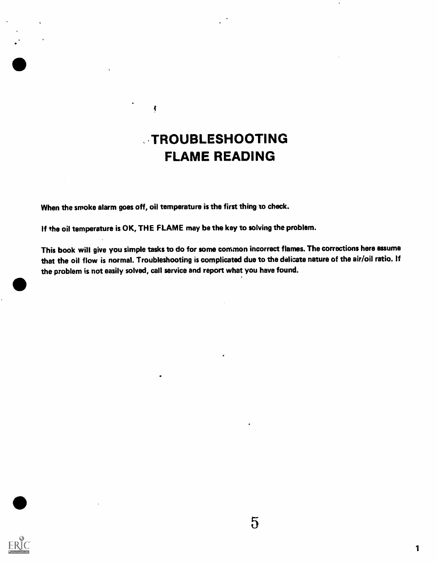# **TROUBLESHOOTING** FLAME READING

When the smoke alarm goes off, oil temperature is the first thing to check.

 $\blacklozenge$ 

If the oil temperature is OK, THE FLAME may be the key to solving the problem.

This book will give you simple tasks to do for some common incorrect flames. The corrections here assume that the oil flow is normal. Troubleshooting is complicated due to the delicate nature ofthe air/oil ratio. If the problem is not easily solved, call service and report what you have found.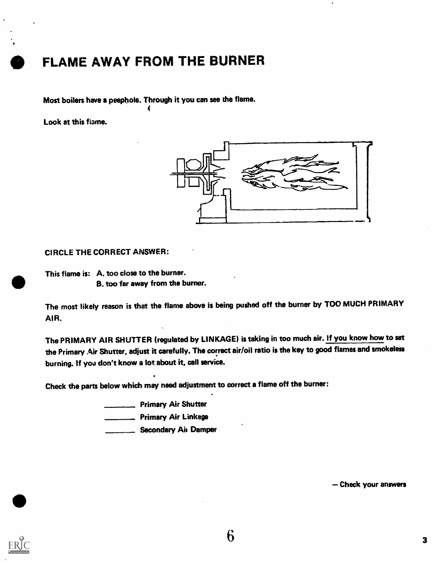# FLAME AWAY FROM THE BURNER

Most boilers have a peephole. Through it you can see the flame.

Look at this flame.



#### CIRCLE THE CORRECT ANSWER:

This flame is: A. too close to the burner. B. too far away from the burner.

The most likely reason is that the flame above is being pushed off the burner by TOO MUCH PRIMARY AIR.

The PRIMARY AIR SHUTTER (regulated by LINKAGE) is taking in too much air. If you know how to set the Primary Air Shutter, adjust it carefully. The correct air/oil ratio is the key to good flames and smokeless burning. If you don't know a lot about it, call service.

Check the parts below which may need adjustment to correct a flame off the burner:

**Primary Air Shutter** 

**\_\_\_\_ Primary Air Linkage** 

Secondary Ail Damper

Check your answers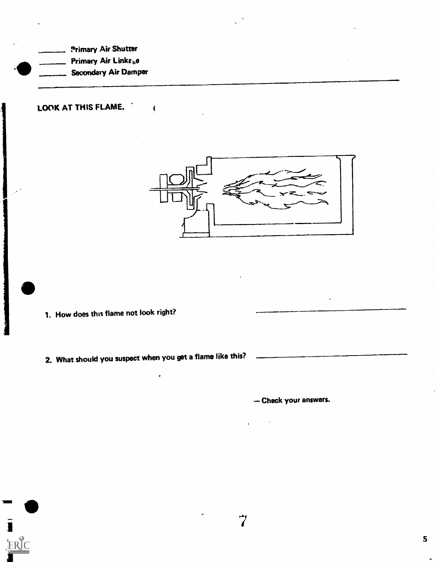Primary Air Shutter Primary Air Linke<sub>b</sub>e Secondary Air Damper

LOOK AT THIS FLAME,



1. How does this flame not look right?

Н

ERIC

2. What should you suspect when you get a flame like this?

J

 $\sqrt{2}$ 

Check your answers.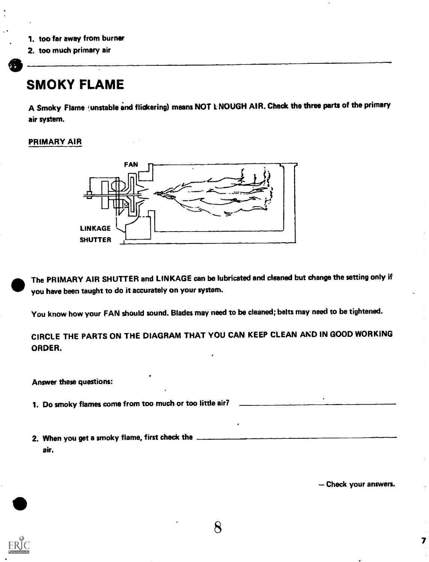- 1, too far away from burner
- 2. too much primary air

# SMOKY FLAME

A Smoky Flame (unstable and flickering) means NOT LNOUGH AIR. Check the three parts of the primary air system.

#### PRIMARY AIR



The PRIMARY AIR SHUTTER and LINKAGE can be lubricated and cleaned but change the setting only if you have been taught to do it accurately on your system.

You know how your FAN should sound. Blades may need to be cleaned; belts may need to be tightened.

CIRCLE THE PARTS ON THE DIAGRAM THAT YOU CAN KEEP CLEAN AND IN GOOD WORKING ORDER.

Answer these questions:

1. Do smoky flames come from too much or too little air?

2. When you get a smoky flame, first check the air.

Check your answers.

 $\overline{\mathbf{z}}$ 



8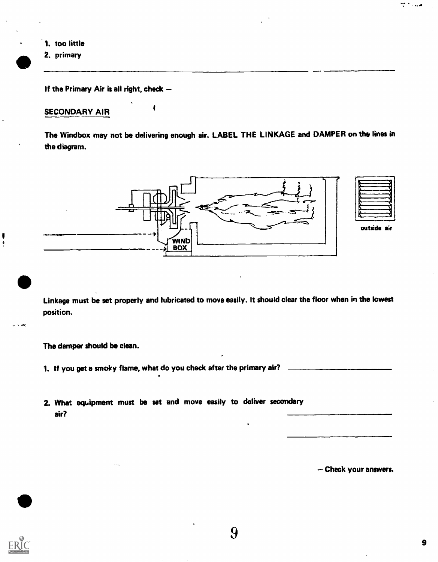

If the Primary Air is all right, check  $-$ 

### SECONDARY AIR

The Windbox may not be delivering enough air. LABEL THE LINKAGE and DAMPER on the lines in the diagram.



han hiji wasa

outside air

Linkage must be set properly and lubricated to move easily. It should clear the floor when in the lowest position.

The damper should be clean.

- 1. If you get a smoky flame, what do you check after the primary air?
- 2. What equipment must be set and move easily to deliver secondary air?

Check your answers.

∤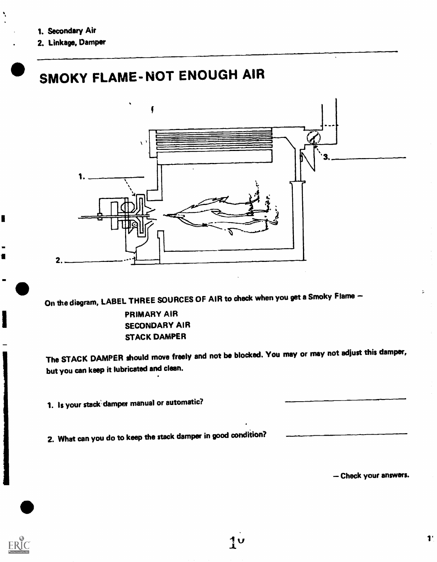2. Linkage, Damper

# SMOKY FLAME- NOT ENOUGH AIR



On the diagram, LABEL THREE SOURCES OF AIR to check when you get a Smoky Flame -

#### PRIMARY AIR SECONDARY AIR STACK DAMPER

The STACK DAMPER should move freely and not be blocked. You may or may not adjust this damper, but you can keep it lubricated and clean.

1. Is your stack damper manual or automatic?

2. What can you do to keep the stack damper in good condition?

- Check your answers.

**I** and the second second  $\mathbf{r}$ 

 $\ddot{\phantom{a}}$ 

 $\blacksquare$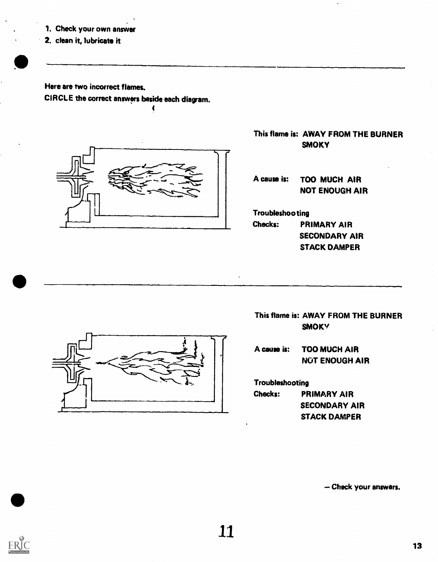- 1. Check your own answer
- 2. clean it, lubricate it

Here are two incorrect flames. CIRCLE the correct answers beside each diagram.



This flame is: AWAY FROM THE BURNER **SMOKY** 

A cause is: TOO MUCH AIR NOT ENOUGH AIR

Troubleshooting

Checks: PRIMARY AIR SECONDARY AIR STACK DAMPER



This flame is: AWAY FROM THE BURNER **SMOKY** 

A cause is: TOO MUCH AIR NOT ENOUGH AIR

Troubleshooting

Checks: PRIMARY AIR SECONDARY AIR STACK DAMPER

Check your answers.



...1117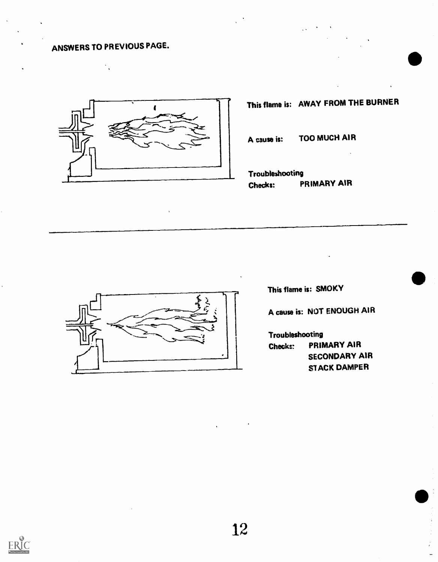# ANSWERS TO PREVIOUS PAGE.



This flame is: AWAY FROM THE BURNER

A cause is: TOO MUCH AIR

Troubleshooting Checks: PRIMARY AIR



This flame is: SMOKY

A cause is: NOT ENOUGH AIR

Troubleshooting Check:: PRIMARY AIR SECONDARY AIR STACK DAMPER

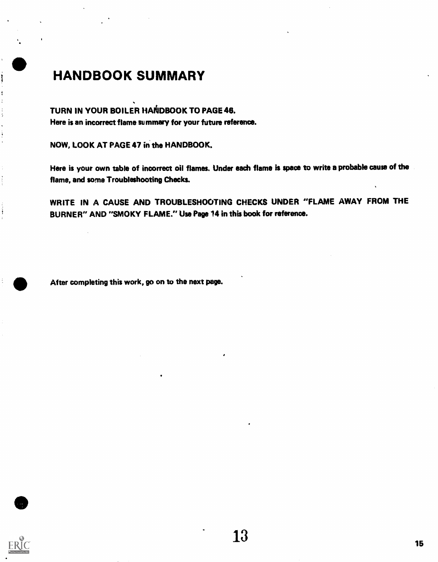# HANDBOOK SUMMARY

### TURN IN YOUR BOILER HANDBOOK TO PAGE 46.

Here is an incorrect flame summary for your future reference.

NOW, LOOK AT PAGE 47 in the HANDBOOK.

Here is your own table of incorrect oil flames. Under each flame is space to write a probable cause of the flame, and some Troubleshooting Checks.

WRITE IN A CAUSE AND TROUBLESHOOTING CHECKS UNDER "FLAME AWAY FROM THE BURNER" AND "SMOKY FLAME." Use Page 14 in this book for reference.

After completing this work, go on to the next page.



ì

 $\ddot{\cdot}$ 

 $\frac{1}{2}$ 

Ì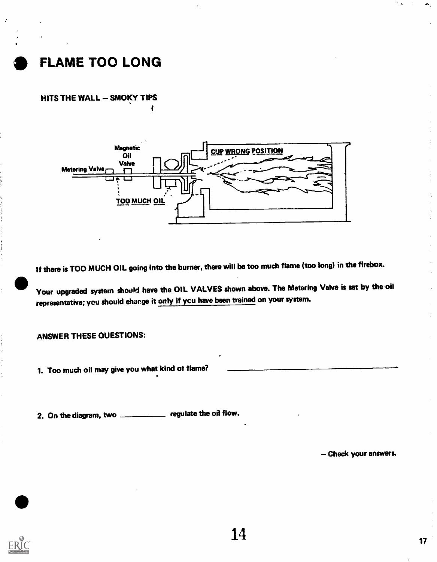

HITS THE WALL - SMOKY TIPS



If there is TOO MUCH OIL going into the burner, there will be too much flame (too long) in the firebox.

Your upgraded system should have the OIL VALVES shown above. The Metering Valve is set by the oil representative; you should change it only if you have been trained on your system.

ANSWER THESE QUESTIONS:

1. Too much oil may give you what kind of flame?

2. On the diagram, two \_\_\_\_\_\_\_\_\_\_ regulate the oil flow.

Check your answers.

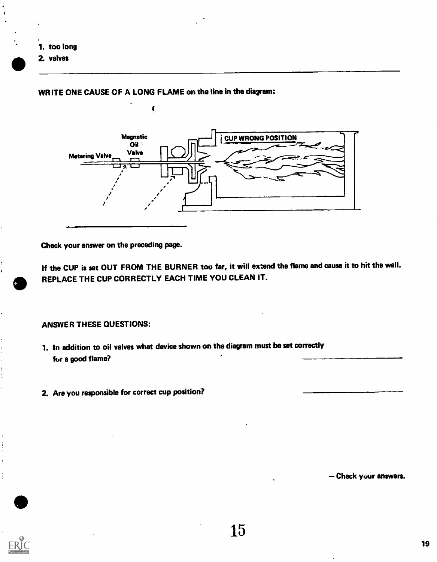- 1. too long
- 2. valves

#### WRITE ONE CAUSE OF A LONG FLAME on the line in the diagram:



Check your answer on the preceding page.

If the CUP is set OUT FROM THE BURNER too far, it will extend the flame and cause it to hit the wall. REPLACE THE CUP CORRECTLY EACH TIME YOU CLEAN IT.

#### ANSWER THESE QUESTIONS:

- 1. In addition to oil valves what device shown on the diagram must be set correctly for a good flame?
- 2. Are you responsible for correct cup position?

Check your answers.



ţ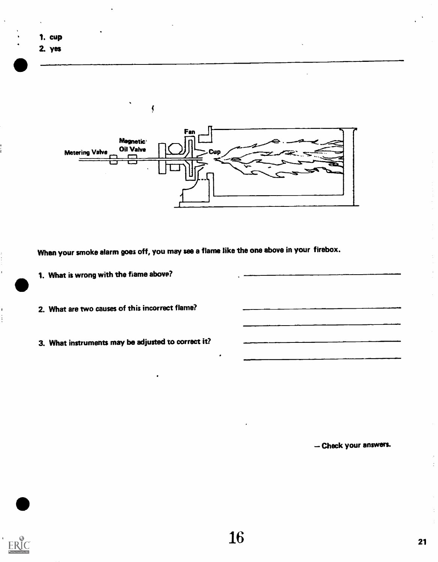

- 
- 2. What are two causes of this incorrect flame?
- 3. What instruments may be adjusted to correct it?

Check your answers.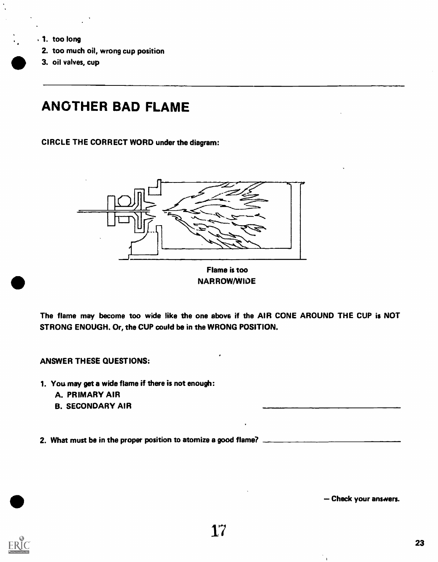- 1. too long
	- 2. too much oil, wrong cup position
	- 3. oil valves, cup

# ANOTHER BAD FLAME

CIRCLE THE CORRECT WORD under the diagram:



NARROW/WIDE

The flame may become too wide like the one above if the AIR CONE AROUND THE CUP is NOT STRONG ENOUGH. Or, the CUP could be in the WRONG POSITION.

ANSWER THESE QUESTIONS:

- 1. You may get a wide flame if there is not enough:
	- A. PRIMARY AIR
	- B. SECONDARY AIR

2. What must be in the proper position to atomize a good flame?

Check your answers.

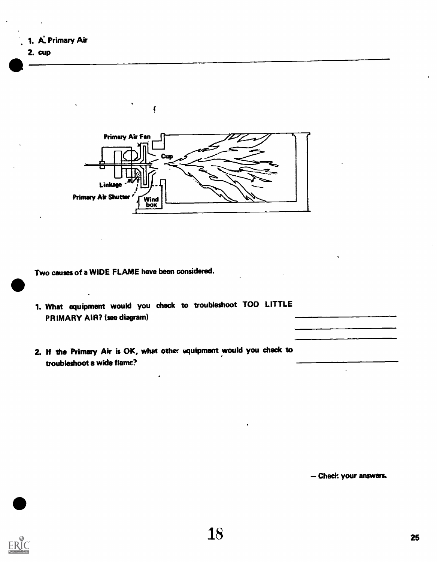



Two causes of a WIDE FLAME have been considered.

 $\mathbf{r}$ 

1. What equipment would you check to troubleshoot TOO LITTLE PRIMARY AIR? (see diagram)

ţ

2. If the Primary Air is OK, what other equipment would you check to troubleshoot a wide flame?

Check your answers.

 $\ddot{\phantom{0}}$ 

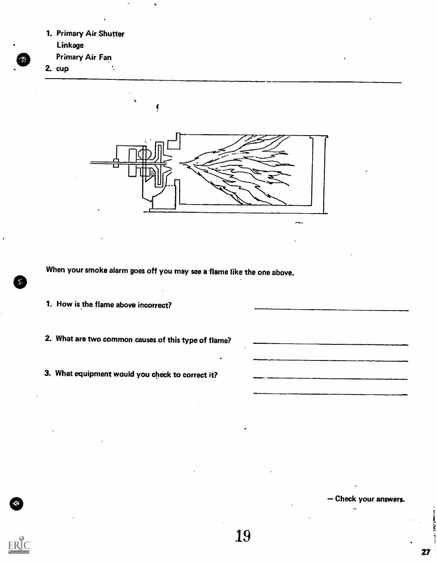- 1. Primary Air Shutter
	- Linkage
- Primary Air Fan

2. cup



When your smoke alarm goes off you may see a flame like the one above.

- 1. How is the flame above incorrect?
- 2. What are two common causes of this type of flame?
- 3. What equipment would you check to correct it?

Check your answers.



27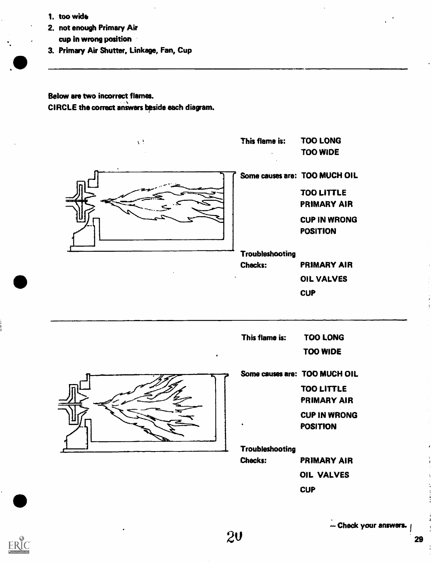1. too wide

ERIC

- 2. not enough Primary Air cup in wrong position
- 3. Primary Air Shutter. Linkage, Fan, Cup

Below are two incorrect flames. CIRCLE the correct answers bpside each diagram.



- Check your answers.

OIL VALVES

**CUP**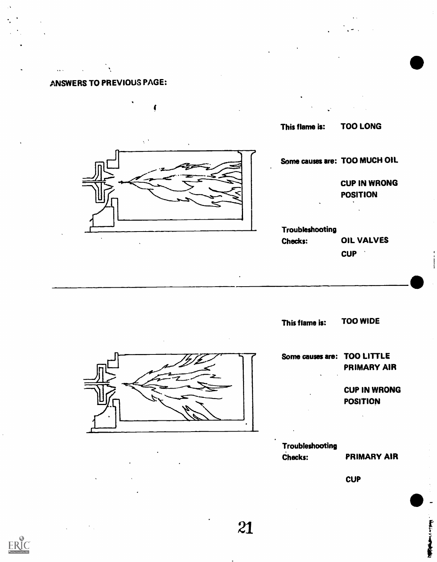## ANSWERS TO PREVIOUS PAGE:

 $\mathbf{A}$ 

. . . .



This flame is: TOO WIDE



| Some causes are: TOO LITTLE | PRIMARY AIR         |  |
|-----------------------------|---------------------|--|
| $\cdot$                     | <b>CUP IN WRONG</b> |  |
|                             | <b>POSITION</b>     |  |
|                             |                     |  |
|                             |                     |  |
| Troubleshooting             |                     |  |
| <b>Checks:</b>              | <b>PRIMARY AIR</b>  |  |
|                             |                     |  |

**CUP** 

The State of State of the State

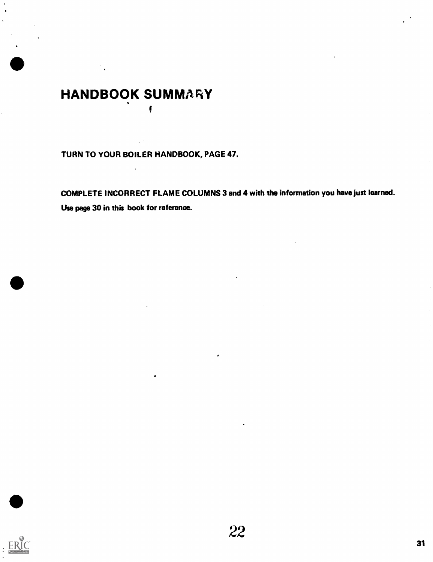# HANDBOOK SUMMARY

 $\ddot{\phantom{a}}$ 

TURN TO YOUR BOILER HANDBOOK, PAGE 47.

**V**erman (1997)

COMPLETE INCORRECT FLAME COLUMNS 3 and 4 with the information you have just learned. Use page 30 in this book for reference.

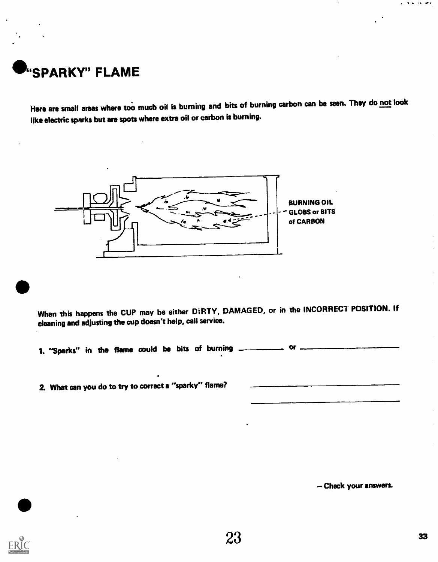

Here are small areas where too much oil is burning and bits of burning carbon can be seen. They do not look like electric sparks but are spots where extra oil or carbon is burning.



When this happens the CUP may be either DIRTY, DAMAGED, or in the INCORRECT POSITION. If cleaning and adjusting the cup doesn't help, call service.

1. "Sparks" in the flame could be bits of burning or

2. What can you do to try to correct a "sparky" flame?

Check your answers.

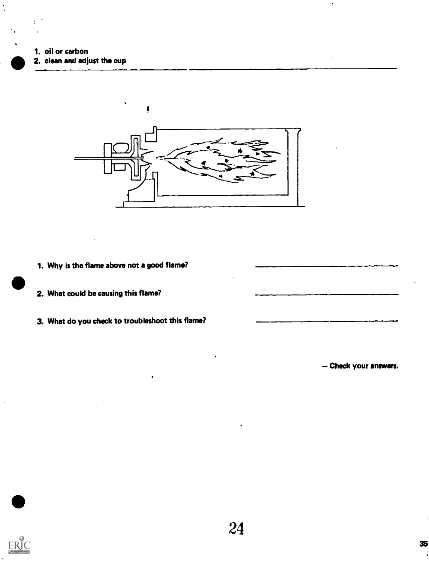1. oil or carbon 2. clean and adjust the cup



- 1. Why is the flame above not a good flame?
- 2. What could be causing this flame?
- 3. What do you check to troubleshoot this flame?

Check your answers.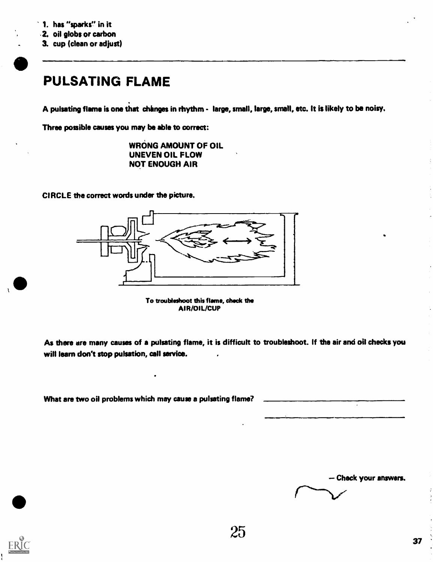- .2. oil globs or carbon
- 3. cup (clean or adjust)

# PULSATING FLAME

A pulsating flame is one that chinges in rhythm - large, small, large, small, etc. It is likely to be noisy.

Three possible causes you may be able to correct:

WRONG AMOUNT OF OIL UNEVEN OIL FLOW NOT ENOUGH AIR

CIRCLE the correct words under the picture.



To troubleshoot this flame, check the AIR/OIL/CUP

As there are many causes of a pulsating flame, it is difficult to troubleshoot. If the air and oil checks you will learn don't stop pulsation, call service.

What are two oil problems which may cause a pulsating flame?

- Check your answers.

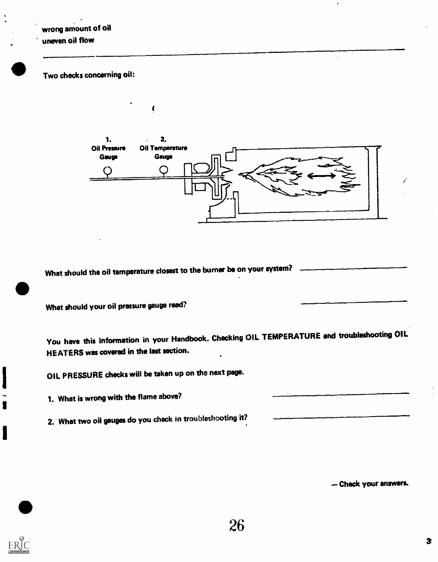Two checks concerning oil:

1. s  $2.$ Oil Pressure Oil Temperature Gauge Gauge O

What should the oil temperature closest to the burner be on your system?

1

What should your oil pressure gauge read?

You have this information in your Handbook. Checking OIL TEMPERATURE and troubleshooting OIL HEATERS was covered in the last section.

OIL PRESSURE checkswill be taken up on the next page.

1. What is wrong with the flame above?

2. What two oil gauges do you check in troubleshooting it?

-- Check your answers.

**I**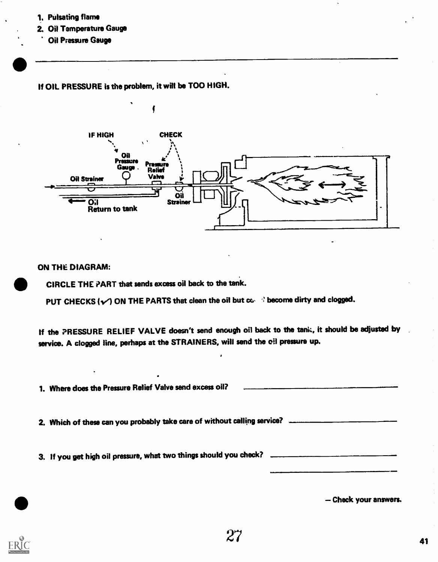- 1. Pulsating flame
- 2. Oil Temperature Gauge
	- Oil Pressure Gauge

If OIL PRESSURE is the problem, it wilt be TOO HIGH.



#### ON THE DIAGRAM:

CIRCLE THE PART that sends excess oil back to the tank.

PUT CHECKS ( $\sqrt{ }$ ) ON THE PARTS that clean the oil but  $\infty$ .  $\Re$  become dirty and clogged.

If the PRESSURE RELIEF VALVE doesn't send enough oil back to the tank, it should be adjusted by service. A clogged line, perhaps at the STRAINERS, will send the oil pressure up.

1. Where does the Pressure Relief Valve send excessoil? --- 2. Which of these can you probably take care of without calling service? \_\_\_\_\_\_\_\_\_\_\_\_ 3. If you get high oil pressure, what two things should you check?

Check your answers.

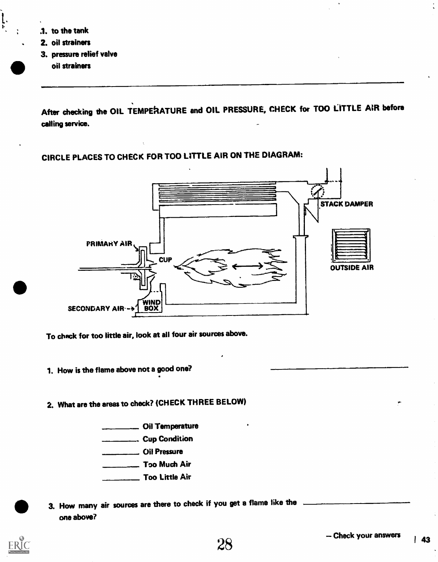.1. to the tank

÷

- 2. oil strainers
- 3. pressure relief valve oil strainers

After checking the OIL TEMPERATURE and OIL PRESSURE, CHECK for TOO LITTLE AIR before calling service.

## CIRCLE PLACES TO CHECK FOR TOO LITTLE AIR ON THE DIAGRAM:



To check for too little air, look at all four air sources above.

- 1. How is the flame above not a good one?
- 2. What are the areas to check? (CHECK THREE BELOW)

**Cil Temperature Cup Condition** Oil Pressure Too Much Air Too Little Air

3. How many air sources are there to check if you get a flame like the one above?

28



.<br>1111 - 1111 - 1111 - 1111 - 1111 - 1111 - 1111 - 1111 - 1111 - 1111 - 1111 - 1111 - 1111 - 1111 - 1111 - 1111<br>1111 - 1111 - 1111 - 1111 - 1111 - 1111 - 1111 - 1111 - 1111 - 1111 - 1111 - 1111 - 1111 - 1111 - 1111 - 1111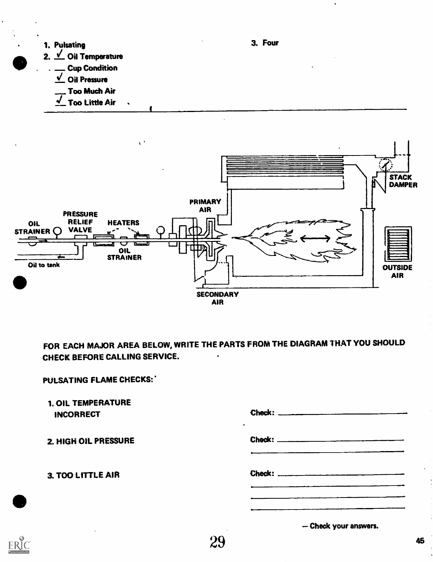



FOR EACH MAJOR AREA BELOW, WRITE THE PARTS FROM THE DIAGRAM THAT YOU SHOULD CHECK BEFORE CALLING SERVICE.

ERIC

1. OIL TEMPERATURE INCORRECT Check: Check: 2. HIGH OIL PRESSURE Check: Check: 3. TOO LITTLE AIR Check' 29 Check your answers.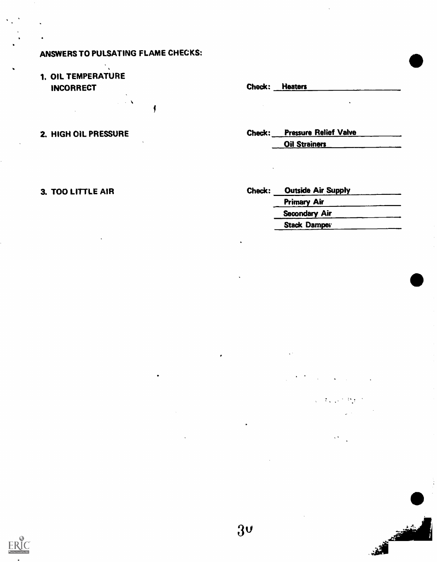#### ANSWERS TO PULSATING FLAME CHECKS:

 $\sim$   $\lambda$ 

f

#### 1. OIL TEMPERATURE INCORRECT Check: Heaters

2. HIGH OIL PRESSURE Check: Pressure Relief Valve Oil Strainers

3. TOO LITTLE AIR Check: Outside Air Supply Primary Air Secondary Air Stack Damper

3. 机空气炉

 $\mathcal{L}^{\mathcal{L}}(\mathcal{L})$ 

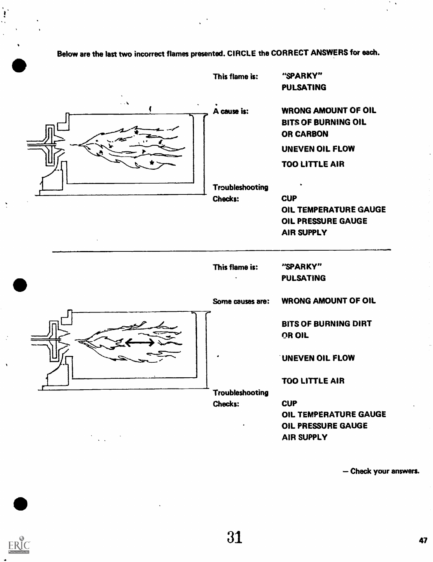# Below are the last two incorrect flames presented. CIRCLE the CORRECT ANSWERS for each.

|                                                                                                                                                                                                                                                                                                                                                                 | This flame is:                                   | "SPARKY"                                                                                                                                                        |
|-----------------------------------------------------------------------------------------------------------------------------------------------------------------------------------------------------------------------------------------------------------------------------------------------------------------------------------------------------------------|--------------------------------------------------|-----------------------------------------------------------------------------------------------------------------------------------------------------------------|
|                                                                                                                                                                                                                                                                                                                                                                 |                                                  | <b>PULSATING</b>                                                                                                                                                |
| $\sim$                                                                                                                                                                                                                                                                                                                                                          | A cause is:<br>Troubleshooting<br><b>Checks:</b> | <b>WRONG AMOUNT OF OIL</b><br><b>BITS OF BURNING OIL</b><br><b>OR CARBON</b><br>UNEVEN OIL FLOW<br>TOO LITTLE AIR<br><b>CUP</b><br><b>OIL TEMPERATURE GAUGE</b> |
|                                                                                                                                                                                                                                                                                                                                                                 |                                                  | OIL PRESSURE GAUGE<br><b>AIR SUPPLY</b>                                                                                                                         |
|                                                                                                                                                                                                                                                                                                                                                                 | This flame is:                                   | "SPARKY"<br><b>PULSATING</b>                                                                                                                                    |
|                                                                                                                                                                                                                                                                                                                                                                 | Some causes are:                                 | <b>WRONG AMOUNT OF OIL</b>                                                                                                                                      |
|                                                                                                                                                                                                                                                                                                                                                                 |                                                  | <b>BITS OF BURNING DIRT</b><br>OR OIL                                                                                                                           |
|                                                                                                                                                                                                                                                                                                                                                                 |                                                  | <b>UNEVEN OIL FLOW</b>                                                                                                                                          |
|                                                                                                                                                                                                                                                                                                                                                                 |                                                  | <b>TOO LITTLE AIR</b>                                                                                                                                           |
| $\sum_{i=1}^{n} \frac{1}{i} \sum_{i=1}^{n} \frac{1}{i} \sum_{i=1}^{n} \frac{1}{i} \sum_{i=1}^{n} \frac{1}{i} \sum_{i=1}^{n} \frac{1}{i} \sum_{i=1}^{n} \frac{1}{i} \sum_{i=1}^{n} \frac{1}{i} \sum_{i=1}^{n} \frac{1}{i} \sum_{i=1}^{n} \frac{1}{i} \sum_{i=1}^{n} \frac{1}{i} \sum_{i=1}^{n} \frac{1}{i} \sum_{i=1}^{n} \frac{1}{i} \sum_{i=1}^{n} \frac{1}{i$ | <b>Troubleshooting</b><br>Checks:<br>٠           | <b>CUP</b><br>OIL TEMPERATURE GAUGE<br>OIL PRESSURE GAUGE<br>AIR SUPPLY                                                                                         |

- Check your answers.

 $\mathcal{F}_{\mathcal{A}}$ 



 $\bullet$ 

 $\ddot{\phantom{1}}$ 

 $\hat{\mathbf{A}}$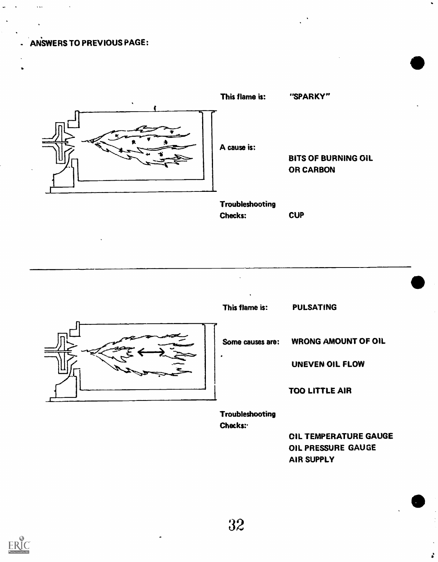#### ANSWERS TO PREVIOUS PAGE:



Checks:

This flame is: PULSATING

**CUP** 

Some causes are: WRONG AMOUNT OF Oil

UNEVEN OIL FLOW

TOO LITTLE AIR

Troubleshooting Checks:

> OIL TEMPERATURE GAUGE OIL PRESSURE GAUGE AIR SUPPLY

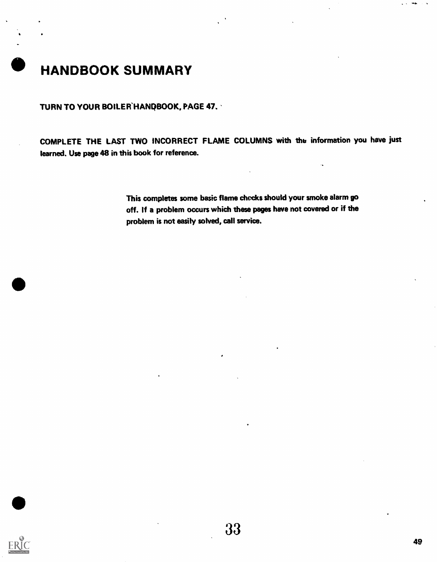

TURN TO YOUR BOILER HANDBOOK, PAGE 47.

COMPLETE THE LAST TWO INCORRECT FLAME COLUMNS with tha information you have just learned. Use page 48 in this book for reference.

> This completes some basic flame checks should your smoke alarm go off. If a problem occurs which these pages have not covered or if the problem is not easily solved, call service.

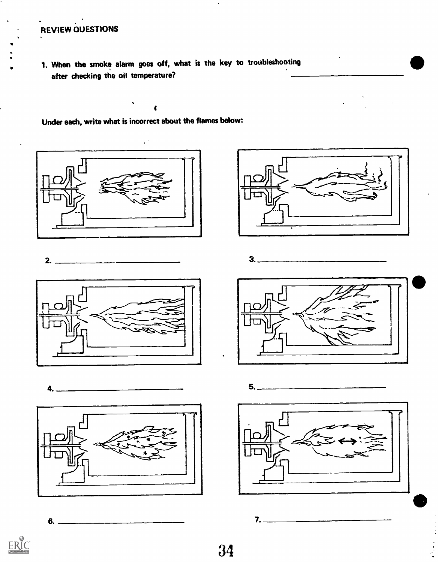# REVIEW QUESTIONS

1. When the smoke alarm goes off, what is the key to troubleshooting after checking the oil temperature?

4

Under each, write what is incorrect about the flames below:







4.



6.











 $\frac{10}{34}$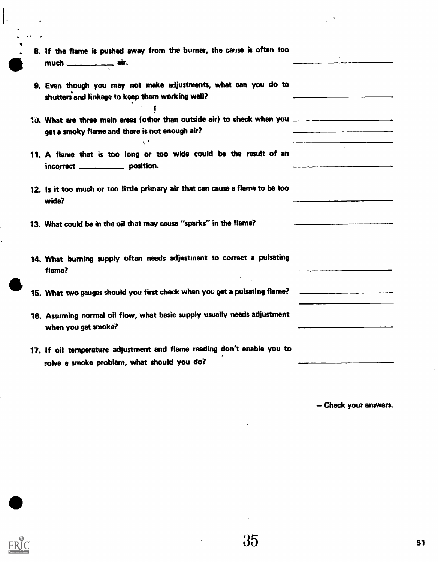| 8. If the flame is pushed away from the burner, the cause is often too<br>much _____________ air.                                                     |  |
|-------------------------------------------------------------------------------------------------------------------------------------------------------|--|
| 9. Even though you may not make adjustments, what can you do to<br>shutters and linkage to keep them working well?                                    |  |
| t0. What are three main areas (other than outside air) to check when you __________________________<br>get a smoky flame and there is not enough air? |  |
| 11. A flame that is too long or too wide could be the result of an<br>incorrect ____________ position.                                                |  |
| 12. Is it too much or too little primary air that can cause a flame to be too<br>wide?                                                                |  |
| 13. What could be in the oil that may cause "sparks" in the flame?                                                                                    |  |
| 14. What burning supply often needs adjustment to correct a pulsating<br>flame?                                                                       |  |
| 15. What two gauges should you first check when you get a pulsating flame?                                                                            |  |
| 16. Assuming normal oil flow, what basic supply usually needs adjustment<br>when you get smoke?                                                       |  |
| 17. If oil temperature adjustment and flame reading don't enable you to<br>solve a smoke problem, what should you do?                                 |  |

Check your answers.

 $\frac{1}{2}$ 

 $\begin{array}{c} \n\cdot \\
\cdot\n\end{array}$ 

 $\ddot{\cdot}$ 

 $\mathbf{r}$ 

 $\hat{\mathcal{A}}$ 

 $\ddot{\bullet}$ 

 $\Delta$ 

 $\langle \cdot \rangle$ 

 $\ddot{\bullet}$